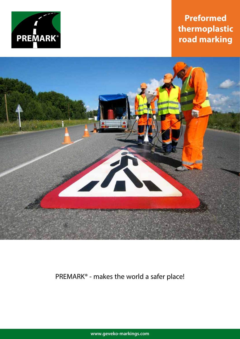

# **Preformed thermoplastic road marking**



# PREMARK® - makes the world a safer place!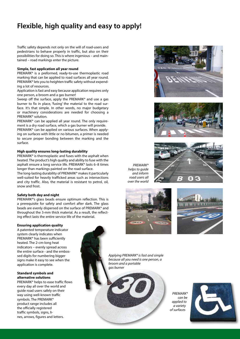# **Flexible, high quality and easy to apply!**

Traffic safety depends not only on the will of road-users and pedestrians to behave properly in traffic, but also on their possibilities for doing so. This is where ingenious – and maintained – road markings enter the picture.

#### **Simple, fast application all year round**

PREMARK® is a preformed, ready-to-use thermoplastic road marking that can be applied to road surfaces all year round. PREMARK® lets you to heighten traffic safety without expending a lot of resources.

Application is fast and easy because application requires only one person, a broom and a gas burner!

Sweep off the surface, apply the PREMARK® and use a gas burner to fix in place, 'fusing' the material to the road surface. It's that simple. In other words, no major budgetary or machinery considerations are needed for choosing a PREMARK® solution.

PREMARK® can be applied all year round. The only requirement is a dry road surface, which a gas burner will provide.

PREMARK® can be applied on various surfaces. When applying on surfaces with little or no bitumen, a primer is needed to secure proper bonding between the marking and the surface.

# **High quality ensures long-lasting durability**

PREMARK® is thermoplastic and fuses with the asphalt when heated. The product's high quality and ability to fuse with the asphalt ensure a long service life. PREMARK® lasts 6–8 times longer than markings painted on the road surface.

The long-lasting durability of PREMARK® makes it particularly well-suited for heavily trafficked areas such as intersections and city traffic. Also, the material is resistant to petrol, oil, snow and frost.

#### **Safety both day and night**

PREMARK®'s glass beads ensure optimum reflection. This is a prerequisite for safety and comfort after dark. The glass beads are evenly dispersed on the surface of PREMARK® and throughout the 3-mm thick material. As a result, the reflecting effect lasts the entire service life of the material.

#### **Ensuring application quality**

A patented temperature indicator system clearly indicates when PREMARK® has been sufficiently heated. The 2-cm-long heat indicators – evenly spread across the entire surface - and the embossed digits for numbering bigger signs make it easy to see when the application is complete.

# **Standard symbols and alternative solutions**

PREMARK® helps to ease traffic flows every day all over the world and guide road users safely on their way using well-known traffic symbols. The PREMARK® product range includes all the officially registered traffic symbols, signs, lines, arrows, figures and letters.















*Applying PREMARK® is fast and simple because all you need is one person, a broom and a portable gas burner*

*PREMARK® can be applied to a variety of surfaces* 

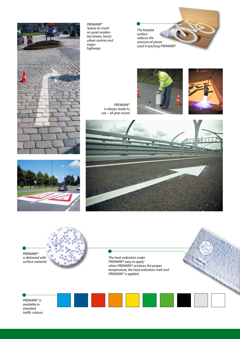

*PREMARK® 'leaves its mark' on quiet residential streets, hectic urban centres and major highways*

*The beaded surface reduces the amount of plastic used in packing PREMARK®*





*PREMARK® is always ready to use – all year round*







*The heat indicators make PREMARK® easy to apply: when PREMARK® achieves the proper temperature, the heat indicators melt and PREMARK® is applied*

*PREMARK® is available in standard traffic colours.*